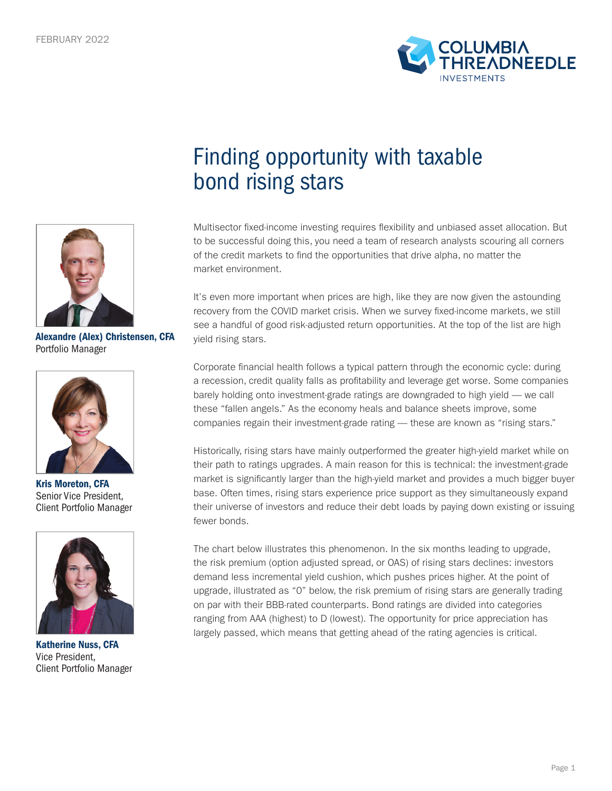



Alexandre (Alex) Christensen, CFA Portfolio Manager



Kris Moreton, CFA Senior Vice President, Client Portfolio Manager



Katherine Nuss, CFA Vice President, Client Portfolio Manager

## Finding opportunity with taxable bond rising stars

Multisector fixed-income investing requires flexibility and unbiased asset allocation. But to be successful doing this, you need a team of research analysts scouring all corners of the credit markets to find the opportunities that drive alpha, no matter the market environment.

It's even more important when prices are high, like they are now given the astounding recovery from the COVID market crisis. When we survey fixed-income markets, we still see a handful of good risk-adjusted return opportunities. At the top of the list are high yield rising stars.

Corporate financial health follows a typical pattern through the economic cycle: during a recession, credit quality falls as profitability and leverage get worse. Some companies barely holding onto investment-grade ratings are downgraded to high yield — we call these "fallen angels." As the economy heals and balance sheets improve, some companies regain their investment-grade rating — these are known as "rising stars."

Historically, rising stars have mainly outperformed the greater high-yield market while on their path to ratings upgrades. A main reason for this is technical: the investment-grade market is significantly larger than the high-yield market and provides a much bigger buyer base. Often times, rising stars experience price support as they simultaneously expand their universe of investors and reduce their debt loads by paying down existing or issuing fewer bonds.

The chart below illustrates this phenomenon. In the six months leading to upgrade, the risk premium (option adjusted spread, or OAS) of rising stars declines: investors demand less incremental yield cushion, which pushes prices higher. At the point of upgrade, illustrated as "0" below, the risk premium of rising stars are generally trading on par with their BBB-rated counterparts. Bond ratings are divided into categories ranging from AAA (highest) to D (lowest). The opportunity for price appreciation has largely passed, which means that getting ahead of the rating agencies is critical.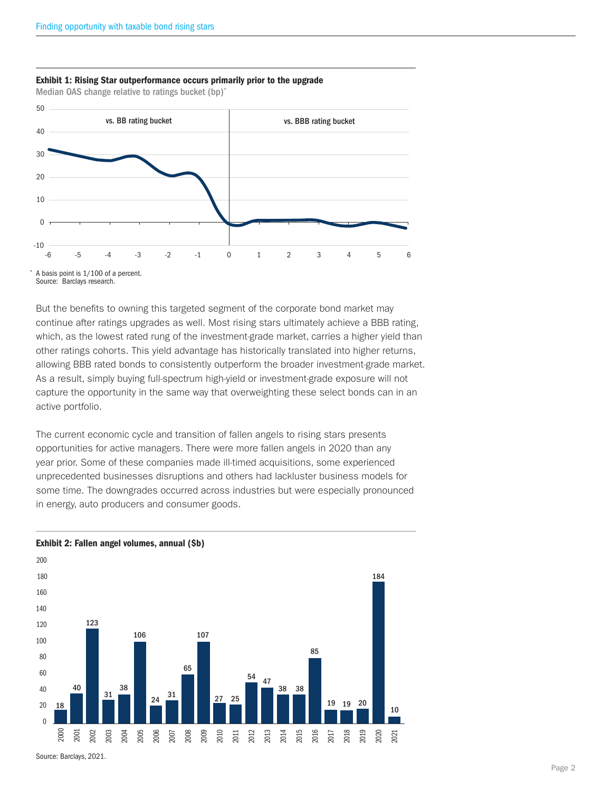

Exhibit 1: Rising Star outperformance occurs primarily prior to the upgrade Median OAS change relative to ratings bucket (bp)\*

Source: Barclays research.

But the benefits to owning this targeted segment of the corporate bond market may continue after ratings upgrades as well. Most rising stars ultimately achieve a BBB rating, which, as the lowest rated rung of the investment-grade market, carries a higher yield than other ratings cohorts. This yield advantage has historically translated into higher returns, allowing BBB rated bonds to consistently outperform the broader investment-grade market. As a result, simply buying full-spectrum high-yield or investment-grade exposure will not capture the opportunity in the same way that overweighting these select bonds can in an active portfolio.

The current economic cycle and transition of fallen angels to rising stars presents opportunities for active managers. There were more fallen angels in 2020 than any year prior. Some of these companies made ill-timed acquisitions, some experienced unprecedented businesses disruptions and others had lackluster business models for some time. The downgrades occurred across industries but were especially pronounced in energy, auto producers and consumer goods.



Exhibit 2: Fallen angel volumes, annual (\$b)

Source: Barclays, 2021.